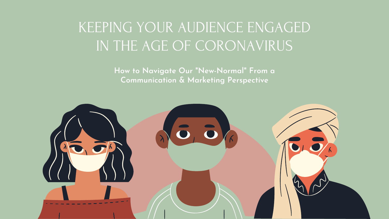# KEEPING YOUR AUDIENCE ENGAGED IN THE AGE OF CORONAVIRUS

**How to Navigate Our "New-Normal" From a Communication & Marketing Perspective**



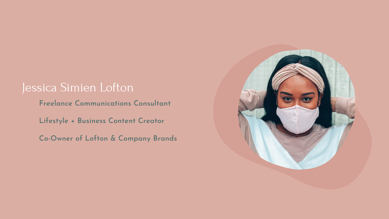Jessica Simien Lofton **Freelance Communications Consultant Lifestyle + Business Content Creator Co-Owner of Lofton & Company Brands**

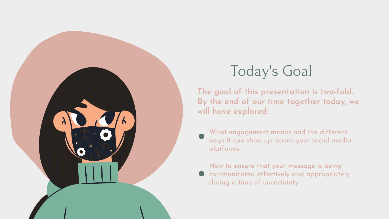**The goal of this presentation is two-fold. By the end of our time together today, we**



What engagement means and the different ways it can show up across your social media

How to ensure that your message is being communicated effectively and appropriately during a time of uncertainty

# Today's Goal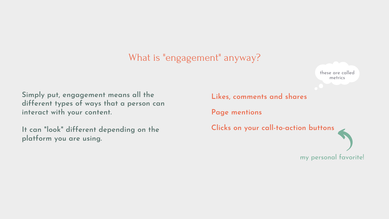## What is "engagement" anyway?

**S Likes, comments and shares imply put, engagement means all the different types of ways that a person can interact with your content. Page mentions**

**It can "look" different depending on the platform you are using.**

# **Clicks on your call-to-action buttons** my personal favorite!

these are called metrics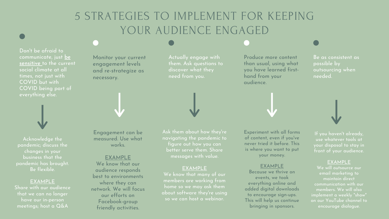Don 't be afraid to communicate, just **be sensitive** to the current social climate at all times, not just with COVID but with COVID being part of everything else.

Monitor your current engagement levels and re-strategize as necessary.

Actually engage with them. Ask questions to discover what they need from you.



Produce more content than usual, using what you have learned firsthand from your audience.

Be as consistent as possible by outsourcing when needed.

# 5 STRATEGIES TO IMPLEMENT FOR KEEPING YOUR AUDIENCE ENGAGED

Acknowledge the pandemic; discuss the changes in your business that the pandemic has brought. Be flexible.

## EXAMPLE

Share with our audience that we can no longer have our in-person meetings; host a Q&A

Engagement can be measured. Use what works.

## EXAMPLE

We know that our audience responds best to environments where they can network. We will focus our efforts on Facebook-group friendly activities.

We will outsource our email marketing to maintain direct communication with our members. We will also implement a weekly "show" on our YouTube channel to encourage dialogue.

Ask them about how they ' re navigating the pandemic to figure out how you can better serve them. Share messages with value.

### **EXAMPLE**

We know that many of our members are working from home so we may ask them about software they ' re using so we can host a webinar.

Experiment with all forms of content, even if you ' ve never tried it before. This is where you want to put your money.

### EXAMPLE

Because we thrive on events, we took everything online and added digital downloads to encourage sign-ups. This will help us continue bringing in sponsors.

If you haven 't already, use whatever tools at your disposal to stay in front of your audience.

## EXAMPLE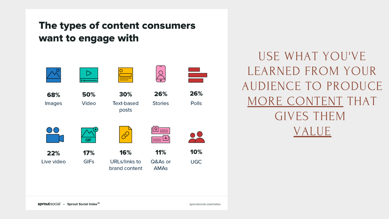## The types of content consumers want to engage with



USE WHAT YOU'VE LEARNED FROM YOUR AUDIENCE TO PRODUCE MORE CONTENT THAT GIVES THEM VALUE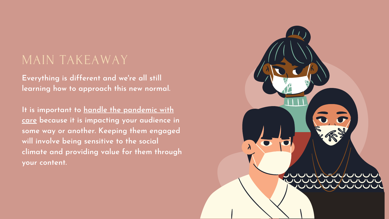**Everything is different and we ' re all still learning how to approach this new normal.**

**It is important to handle the pandemic with care because it is impacting your audience in some way or another. Keeping them engaged will involve being sensitive to the social climate and providing value for them through your content.**



## MAIN TAKEAWAY